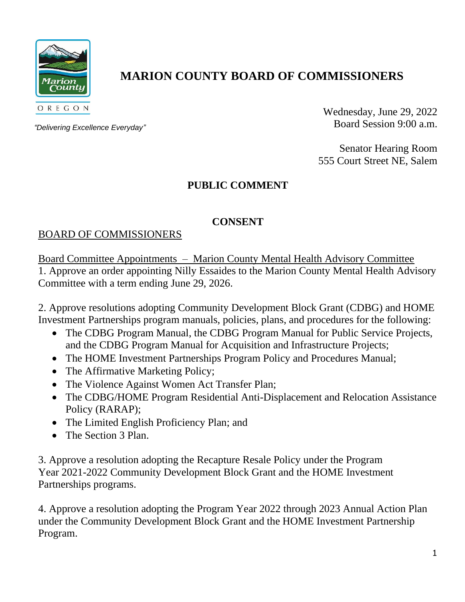

# **MARION COUNTY BOARD OF COMMISSIONERS**

*"Delivering Excellence Everyday"*

Wednesday, June 29, 2022 Board Session 9:00 a.m.

Senator Hearing Room 555 Court Street NE, Salem

# **PUBLIC COMMENT**

### **CONSENT**

## BOARD OF COMMISSIONERS

Board Committee Appointments – Marion County Mental Health Advisory Committee 1. Approve an order appointing Nilly Essaides to the Marion County Mental Health Advisory Committee with a term ending June 29, 2026.

2. Approve resolutions adopting Community Development Block Grant (CDBG) and HOME Investment Partnerships program manuals, policies, plans, and procedures for the following:

- The CDBG Program Manual, the CDBG Program Manual for Public Service Projects, and the CDBG Program Manual for Acquisition and Infrastructure Projects;
- The HOME Investment Partnerships Program Policy and Procedures Manual;
- The Affirmative Marketing Policy;
- The Violence Against Women Act Transfer Plan;
- The CDBG/HOME Program Residential Anti-Displacement and Relocation Assistance Policy (RARAP);
- The Limited English Proficiency Plan; and
- The Section 3 Plan.

3. Approve a resolution adopting the Recapture Resale Policy under the Program Year 2021-2022 Community Development Block Grant and the HOME Investment Partnerships programs.

4. Approve a resolution adopting the Program Year 2022 through 2023 Annual Action Plan under the Community Development Block Grant and the HOME Investment Partnership Program.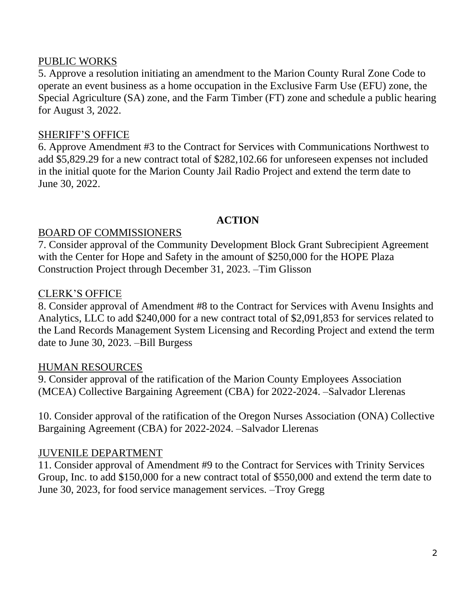#### PUBLIC WORKS

5. Approve a resolution initiating an amendment to the Marion County Rural Zone Code to operate an event business as a home occupation in the Exclusive Farm Use (EFU) zone, the Special Agriculture (SA) zone, and the Farm Timber (FT) zone and schedule a public hearing for August 3, 2022.

### SHERIFF'S OFFICE

6. Approve Amendment #3 to the Contract for Services with Communications Northwest to add \$5,829.29 for a new contract total of \$282,102.66 for unforeseen expenses not included in the initial quote for the Marion County Jail Radio Project and extend the term date to June 30, 2022.

#### **ACTION**

#### BOARD OF COMMISSIONERS

7. Consider approval of the Community Development Block Grant Subrecipient Agreement with the Center for Hope and Safety in the amount of \$250,000 for the HOPE Plaza Construction Project through December 31, 2023. –Tim Glisson

#### CLERK'S OFFICE

8. Consider approval of Amendment #8 to the Contract for Services with Avenu Insights and Analytics, LLC to add \$240,000 for a new contract total of \$2,091,853 for services related to the Land Records Management System Licensing and Recording Project and extend the term date to June 30, 2023. –Bill Burgess

#### HUMAN RESOURCES

9. Consider approval of the ratification of the Marion County Employees Association (MCEA) Collective Bargaining Agreement (CBA) for 2022-2024. –Salvador Llerenas

10. Consider approval of the ratification of the Oregon Nurses Association (ONA) Collective Bargaining Agreement (CBA) for 2022-2024. –Salvador Llerenas

### JUVENILE DEPARTMENT

11. Consider approval of Amendment #9 to the Contract for Services with Trinity Services Group, Inc. to add \$150,000 for a new contract total of \$550,000 and extend the term date to June 30, 2023, for food service management services. –Troy Gregg